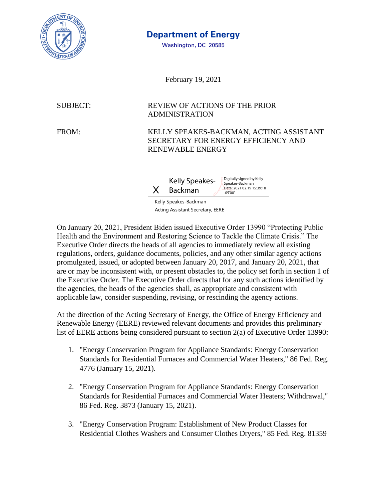

## **Department of Energy**

Washington, DC 20585

February 19, 2021

## SUBJECT: REVIEW OF ACTIONS OF THE PRIOR ADMINISTRATION

FROM: KELLY SPEAKES-BACKMAN, ACTING ASSISTANT SECRETARY FOR ENERGY EFFICIENCY AND RENEWABLE ENERGY



Kelly Speakes-Backman Acting Assistant Secretary, EERE

On January 20, 2021, President Biden issued Executive Order 13990 "Protecting Public Health and the Environment and Restoring Science to Tackle the Climate Crisis." The Executive Order directs the heads of all agencies to immediately review all existing regulations, orders, guidance documents, policies, and any other similar agency actions promulgated, issued, or adopted between January 20, 2017, and January 20, 2021, that are or may be inconsistent with, or present obstacles to, the policy set forth in section 1 of the Executive Order. The Executive Order directs that for any such actions identified by the agencies, the heads of the agencies shall, as appropriate and consistent with applicable law, consider suspending, revising, or rescinding the agency actions.

At the direction of the Acting Secretary of Energy, the Office of Energy Efficiency and Renewable Energy (EERE) reviewed relevant documents and provides this preliminary list of EERE actions being considered pursuant to section 2(a) of Executive Order 13990:

- 1. "Energy Conservation Program for Appliance Standards: Energy Conservation Standards for Residential Furnaces and Commercial Water Heaters," 86 Fed. Reg. 4776 (January 15, 2021).
- 2. "Energy Conservation Program for Appliance Standards: Energy Conservation Standards for Residential Furnaces and Commercial Water Heaters; Withdrawal," 86 Fed. Reg. 3873 (January 15, 2021).
- 3. "Energy Conservation Program: Establishment of New Product Classes for Residential Clothes Washers and Consumer Clothes Dryers," 85 Fed. Reg. 81359